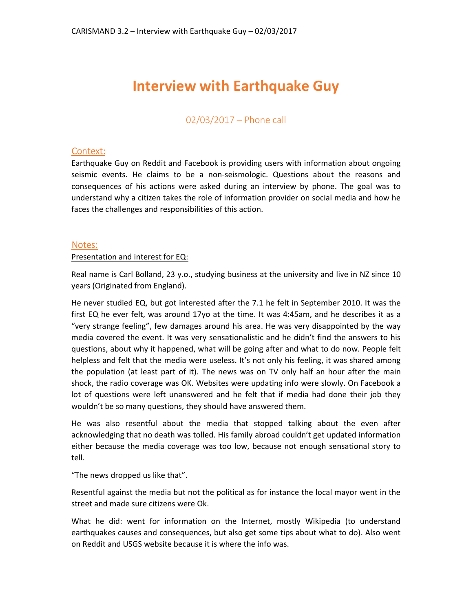# **Interview with Earthquake Guy**

02/03/2017 – Phone call

# Context:

Earthquake Guy on Reddit and Facebook is providing users with information about ongoing seismic events. He claims to be a non-seismologic. Questions about the reasons and consequences of his actions were asked during an interview by phone. The goal was to understand why a citizen takes the role of information provider on social media and how he faces the challenges and responsibilities of this action.

### Notes:

#### Presentation and interest for EQ:

Real name is Carl Bolland, 23 y.o., studying business at the university and live in NZ since 10 years (Originated from England).

He never studied EQ, but got interested after the 7.1 he felt in September 2010. It was the first EQ he ever felt, was around 17yo at the time. It was 4:45am, and he describes it as a "very strange feeling", few damages around his area. He was very disappointed by the way media covered the event. It was very sensationalistic and he didn't find the answers to his questions, about why it happened, what will be going after and what to do now. People felt helpless and felt that the media were useless. It's not only his feeling, it was shared among the population (at least part of it). The news was on TV only half an hour after the main shock, the radio coverage was OK. Websites were updating info were slowly. On Facebook a lot of questions were left unanswered and he felt that if media had done their job they wouldn't be so many questions, they should have answered them.

He was also resentful about the media that stopped talking about the even after acknowledging that no death was tolled. His family abroad couldn't get updated information either because the media coverage was too low, because not enough sensational story to tell.

"The news dropped us like that".

Resentful against the media but not the political as for instance the local mayor went in the street and made sure citizens were Ok.

What he did: went for information on the Internet, mostly Wikipedia (to understand earthquakes causes and consequences, but also get some tips about what to do). Also went on Reddit and USGS website because it is where the info was.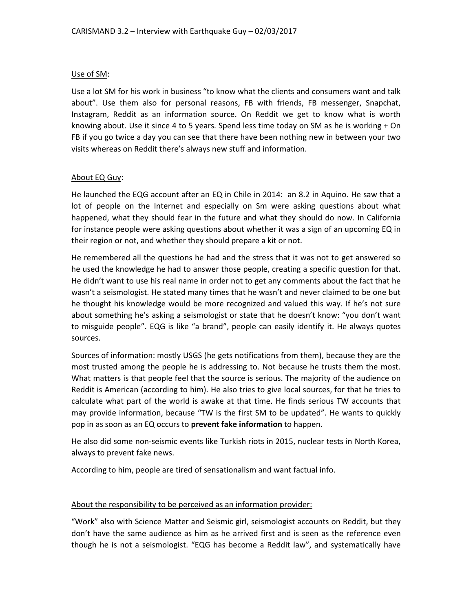## Use of SM:

Use a lot SM for his work in business "to know what the clients and consumers want and talk about". Use them also for personal reasons, FB with friends, FB messenger, Snapchat, Instagram, Reddit as an information source. On Reddit we get to know what is worth knowing about. Use it since 4 to 5 years. Spend less time today on SM as he is working + On FB if you go twice a day you can see that there have been nothing new in between your two visits whereas on Reddit there's always new stuff and information.

### About EQ Guy:

He launched the EQG account after an EQ in Chile in 2014: an 8.2 in Aquino. He saw that a lot of people on the Internet and especially on Sm were asking questions about what happened, what they should fear in the future and what they should do now. In California for instance people were asking questions about whether it was a sign of an upcoming EQ in their region or not, and whether they should prepare a kit or not.

He remembered all the questions he had and the stress that it was not to get answered so he used the knowledge he had to answer those people, creating a specific question for that. He didn't want to use his real name in order not to get any comments about the fact that he wasn't a seismologist. He stated many times that he wasn't and never claimed to be one but he thought his knowledge would be more recognized and valued this way. If he's not sure about something he's asking a seismologist or state that he doesn't know: "you don't want to misguide people". EQG is like "a brand", people can easily identify it. He always quotes sources.

Sources of information: mostly USGS (he gets notifications from them), because they are the most trusted among the people he is addressing to. Not because he trusts them the most. What matters is that people feel that the source is serious. The majority of the audience on Reddit is American (according to him). He also tries to give local sources, for that he tries to calculate what part of the world is awake at that time. He finds serious TW accounts that may provide information, because "TW is the first SM to be updated". He wants to quickly pop in as soon as an EQ occurs to **prevent fake information** to happen.

He also did some non-seismic events like Turkish riots in 2015, nuclear tests in North Korea, always to prevent fake news.

According to him, people are tired of sensationalism and want factual info.

#### About the responsibility to be perceived as an information provider:

"Work" also with Science Matter and Seismic girl, seismologist accounts on Reddit, but they don't have the same audience as him as he arrived first and is seen as the reference even though he is not a seismologist. "EQG has become a Reddit law", and systematically have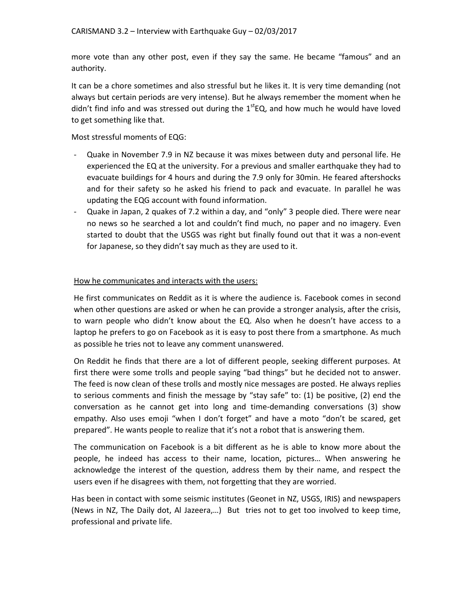more vote than any other post, even if they say the same. He became "famous" and an authority.

It can be a chore sometimes and also stressful but he likes it. It is very time demanding (not always but certain periods are very intense). But he always remember the moment when he didn't find info and was stressed out during the  $1^{st}EQ$ , and how much he would have loved to get something like that.

Most stressful moments of EQG:

- Quake in November 7.9 in NZ because it was mixes between duty and personal life. He experienced the EQ at the university. For a previous and smaller earthquake they had to evacuate buildings for 4 hours and during the 7.9 only for 30min. He feared aftershocks and for their safety so he asked his friend to pack and evacuate. In parallel he was updating the EQG account with found information.
- Quake in Japan, 2 quakes of 7.2 within a day, and "only" 3 people died. There were near no news so he searched a lot and couldn't find much, no paper and no imagery. Even started to doubt that the USGS was right but finally found out that it was a non-event for Japanese, so they didn't say much as they are used to it.

### How he communicates and interacts with the users:

He first communicates on Reddit as it is where the audience is. Facebook comes in second when other questions are asked or when he can provide a stronger analysis, after the crisis, to warn people who didn't know about the EQ. Also when he doesn't have access to a laptop he prefers to go on Facebook as it is easy to post there from a smartphone. As much as possible he tries not to leave any comment unanswered.

On Reddit he finds that there are a lot of different people, seeking different purposes. At first there were some trolls and people saying "bad things" but he decided not to answer. The feed is now clean of these trolls and mostly nice messages are posted. He always replies to serious comments and finish the message by "stay safe" to: (1) be positive, (2) end the conversation as he cannot get into long and time-demanding conversations (3) show empathy. Also uses emoji "when I don't forget" and have a moto "don't be scared, get prepared". He wants people to realize that it's not a robot that is answering them.

The communication on Facebook is a bit different as he is able to know more about the people, he indeed has access to their name, location, pictures… When answering he acknowledge the interest of the question, address them by their name, and respect the users even if he disagrees with them, not forgetting that they are worried.

Has been in contact with some seismic institutes (Geonet in NZ, USGS, IRIS) and newspapers (News in NZ, The Daily dot, Al Jazeera,…) But tries not to get too involved to keep time, professional and private life.